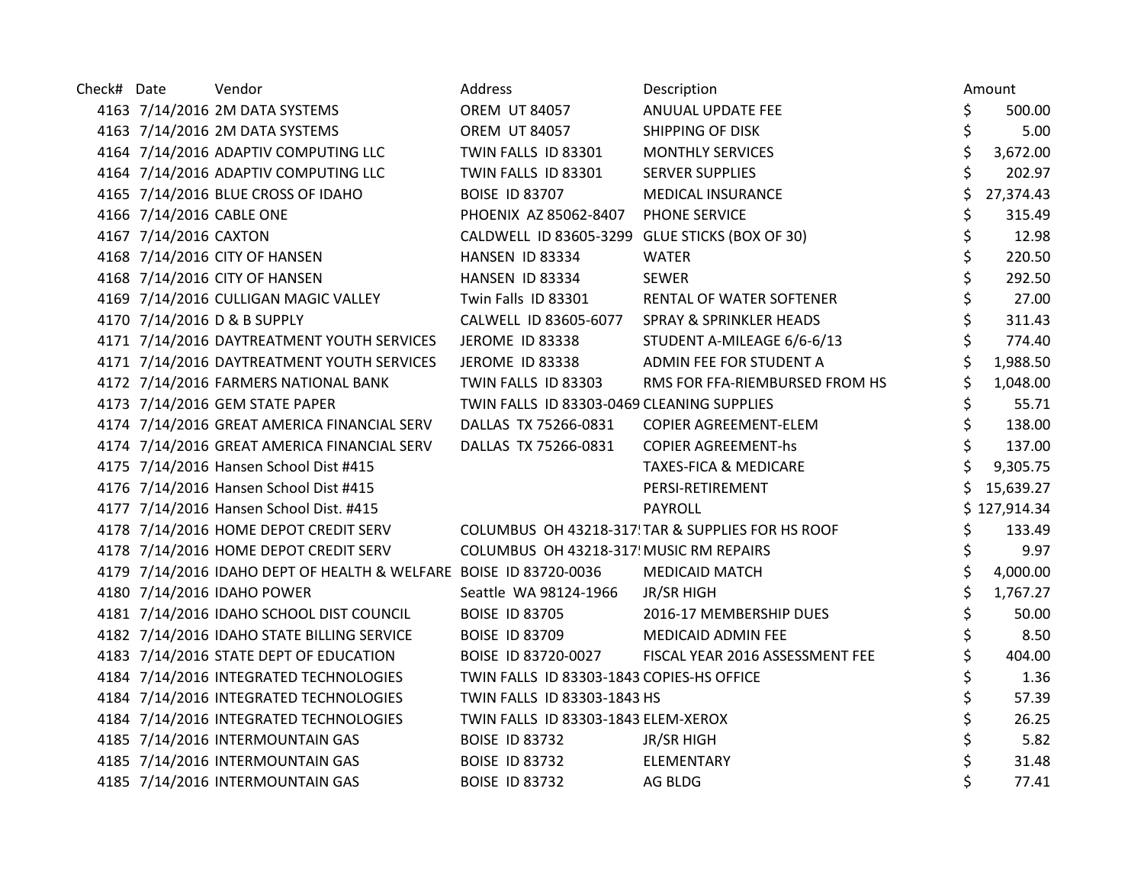| Check# Date |                       | Vendor                                                            | Address                                           | Description                        |    | Amount       |
|-------------|-----------------------|-------------------------------------------------------------------|---------------------------------------------------|------------------------------------|----|--------------|
|             |                       | 4163 7/14/2016 2M DATA SYSTEMS                                    | <b>OREM UT 84057</b>                              | ANUUAL UPDATE FEE                  | \$ | 500.00       |
|             |                       | 4163 7/14/2016 2M DATA SYSTEMS                                    | <b>OREM UT 84057</b>                              | <b>SHIPPING OF DISK</b>            | \$ | 5.00         |
|             |                       | 4164 7/14/2016 ADAPTIV COMPUTING LLC                              | TWIN FALLS ID 83301                               | <b>MONTHLY SERVICES</b>            | \$ | 3,672.00     |
|             |                       | 4164 7/14/2016 ADAPTIV COMPUTING LLC                              | TWIN FALLS ID 83301                               | <b>SERVER SUPPLIES</b>             | \$ | 202.97       |
|             |                       | 4165 7/14/2016 BLUE CROSS OF IDAHO                                | <b>BOISE ID 83707</b>                             | <b>MEDICAL INSURANCE</b>           | Ś  | 27,374.43    |
|             |                       | 4166 7/14/2016 CABLE ONE                                          | PHOENIX AZ 85062-8407                             | PHONE SERVICE                      | \$ | 315.49       |
|             | 4167 7/14/2016 CAXTON |                                                                   | CALDWELL ID 83605-3299 GLUE STICKS (BOX OF 30)    |                                    | \$ | 12.98        |
|             |                       | 4168 7/14/2016 CITY OF HANSEN                                     | HANSEN ID 83334                                   | <b>WATER</b>                       | \$ | 220.50       |
|             |                       | 4168 7/14/2016 CITY OF HANSEN                                     | HANSEN ID 83334                                   | <b>SEWER</b>                       | \$ | 292.50       |
|             |                       | 4169 7/14/2016 CULLIGAN MAGIC VALLEY                              | Twin Falls ID 83301                               | RENTAL OF WATER SOFTENER           | \$ | 27.00        |
|             |                       | 4170 7/14/2016 D & B SUPPLY                                       | CALWELL ID 83605-6077                             | <b>SPRAY &amp; SPRINKLER HEADS</b> | \$ | 311.43       |
|             |                       | 4171 7/14/2016 DAYTREATMENT YOUTH SERVICES                        | JEROME ID 83338                                   | STUDENT A-MILEAGE 6/6-6/13         | \$ | 774.40       |
|             |                       | 4171 7/14/2016 DAYTREATMENT YOUTH SERVICES                        | JEROME ID 83338                                   | ADMIN FEE FOR STUDENT A            | \$ | 1,988.50     |
|             |                       | 4172 7/14/2016 FARMERS NATIONAL BANK                              | TWIN FALLS ID 83303                               | RMS FOR FFA-RIEMBURSED FROM HS     | \$ | 1,048.00     |
|             |                       | 4173 7/14/2016 GEM STATE PAPER                                    | TWIN FALLS ID 83303-0469 CLEANING SUPPLIES        |                                    | \$ | 55.71        |
|             |                       | 4174 7/14/2016 GREAT AMERICA FINANCIAL SERV                       | DALLAS TX 75266-0831                              | COPIER AGREEMENT-ELEM              | \$ | 138.00       |
|             |                       | 4174 7/14/2016 GREAT AMERICA FINANCIAL SERV                       | DALLAS TX 75266-0831                              | <b>COPIER AGREEMENT-hs</b>         | \$ | 137.00       |
|             |                       | 4175 7/14/2016 Hansen School Dist #415                            |                                                   | <b>TAXES-FICA &amp; MEDICARE</b>   |    | 9,305.75     |
|             |                       | 4176 7/14/2016 Hansen School Dist #415                            |                                                   | PERSI-RETIREMENT                   |    | 15,639.27    |
|             |                       | 4177 7/14/2016 Hansen School Dist. #415                           |                                                   | <b>PAYROLL</b>                     |    | \$127,914.34 |
|             |                       | 4178 7/14/2016 HOME DEPOT CREDIT SERV                             | COLUMBUS OH 43218-317! TAR & SUPPLIES FOR HS ROOF |                                    | \$ | 133.49       |
|             |                       | 4178 7/14/2016 HOME DEPOT CREDIT SERV                             | COLUMBUS OH 43218-317! MUSIC RM REPAIRS           |                                    | \$ | 9.97         |
|             |                       | 4179 7/14/2016 IDAHO DEPT OF HEALTH & WELFARE BOISE ID 83720-0036 |                                                   | <b>MEDICAID MATCH</b>              | \$ | 4,000.00     |
|             |                       | 4180 7/14/2016 IDAHO POWER                                        | Seattle WA 98124-1966                             | <b>JR/SR HIGH</b>                  | \$ | 1,767.27     |
|             |                       | 4181 7/14/2016 IDAHO SCHOOL DIST COUNCIL                          | <b>BOISE ID 83705</b>                             | 2016-17 MEMBERSHIP DUES            | \$ | 50.00        |
|             |                       | 4182 7/14/2016 IDAHO STATE BILLING SERVICE                        | <b>BOISE ID 83709</b>                             | MEDICAID ADMIN FEE                 | \$ | 8.50         |
|             |                       | 4183 7/14/2016 STATE DEPT OF EDUCATION                            | BOISE ID 83720-0027                               | FISCAL YEAR 2016 ASSESSMENT FEE    | \$ | 404.00       |
|             |                       | 4184 7/14/2016 INTEGRATED TECHNOLOGIES                            | TWIN FALLS ID 83303-1843 COPIES-HS OFFICE         |                                    | \$ | 1.36         |
|             |                       | 4184 7/14/2016 INTEGRATED TECHNOLOGIES                            | TWIN FALLS ID 83303-1843 HS                       |                                    | \$ | 57.39        |
|             |                       | 4184 7/14/2016 INTEGRATED TECHNOLOGIES                            | TWIN FALLS ID 83303-1843 ELEM-XEROX               |                                    | \$ | 26.25        |
|             |                       | 4185 7/14/2016 INTERMOUNTAIN GAS                                  | <b>BOISE ID 83732</b>                             | <b>JR/SR HIGH</b>                  | \$ | 5.82         |
|             |                       | 4185 7/14/2016 INTERMOUNTAIN GAS                                  | <b>BOISE ID 83732</b>                             | <b>ELEMENTARY</b>                  | \$ | 31.48        |
|             |                       | 4185 7/14/2016 INTERMOUNTAIN GAS                                  | <b>BOISE ID 83732</b>                             | AG BLDG                            | \$ | 77.41        |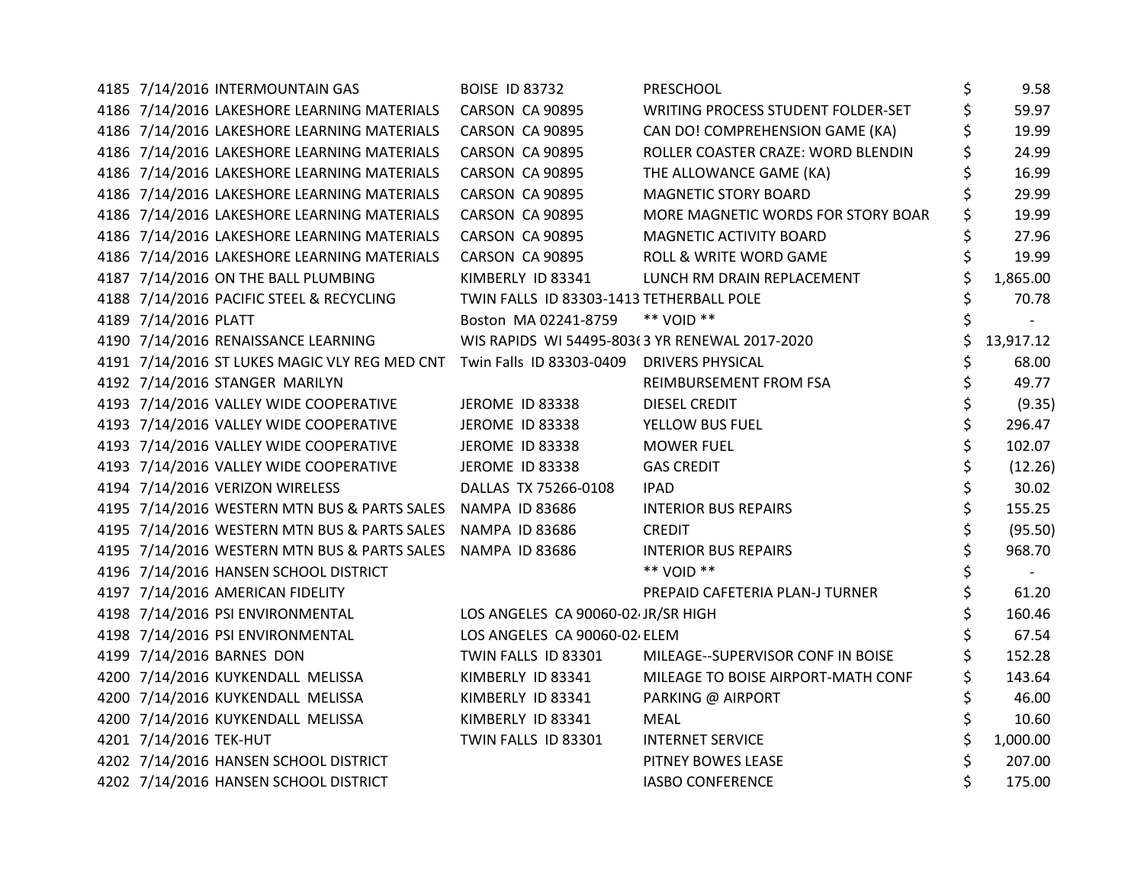| 4185 7/14/2016 INTERMOUNTAIN GAS                                       | <b>BOISE ID 83732</b>                          | PRESCHOOL                          | \$<br>9.58     |
|------------------------------------------------------------------------|------------------------------------------------|------------------------------------|----------------|
| 4186 7/14/2016 LAKESHORE LEARNING MATERIALS                            | CARSON CA 90895                                | WRITING PROCESS STUDENT FOLDER-SET | \$<br>59.97    |
| 4186 7/14/2016 LAKESHORE LEARNING MATERIALS                            | CARSON CA 90895                                | CAN DO! COMPREHENSION GAME (KA)    | \$<br>19.99    |
| 4186 7/14/2016 LAKESHORE LEARNING MATERIALS                            | CARSON CA 90895                                | ROLLER COASTER CRAZE: WORD BLENDIN | 24.99          |
| 4186 7/14/2016 LAKESHORE LEARNING MATERIALS                            | CARSON CA 90895                                | THE ALLOWANCE GAME (KA)            | 16.99          |
| 4186 7/14/2016 LAKESHORE LEARNING MATERIALS                            | CARSON CA 90895                                | <b>MAGNETIC STORY BOARD</b>        | 29.99          |
| 4186 7/14/2016 LAKESHORE LEARNING MATERIALS                            | CARSON CA 90895                                | MORE MAGNETIC WORDS FOR STORY BOAR | 19.99          |
| 4186 7/14/2016 LAKESHORE LEARNING MATERIALS                            | CARSON CA 90895                                | MAGNETIC ACTIVITY BOARD            | 27.96          |
| 4186 7/14/2016 LAKESHORE LEARNING MATERIALS                            | CARSON CA 90895                                | ROLL & WRITE WORD GAME             | 19.99          |
| 4187 7/14/2016 ON THE BALL PLUMBING                                    | KIMBERLY ID 83341                              | LUNCH RM DRAIN REPLACEMENT         | \$<br>1,865.00 |
| 4188 7/14/2016 PACIFIC STEEL & RECYCLING                               | TWIN FALLS ID 83303-1413 TETHERBALL POLE       |                                    | \$<br>70.78    |
| 4189 7/14/2016 PLATT                                                   | Boston MA 02241-8759                           | ** VOID **                         |                |
| 4190 7/14/2016 RENAISSANCE LEARNING                                    | WIS RAPIDS WI 54495-803(3 YR RENEWAL 2017-2020 |                                    | 13,917.12      |
| 4191 7/14/2016 ST LUKES MAGIC VLY REG MED CNT Twin Falls ID 83303-0409 |                                                | <b>DRIVERS PHYSICAL</b>            | 68.00          |
| 4192 7/14/2016 STANGER MARILYN                                         |                                                | REIMBURSEMENT FROM FSA             | \$<br>49.77    |
| 4193 7/14/2016 VALLEY WIDE COOPERATIVE                                 | <b>JEROME ID 83338</b>                         | <b>DIESEL CREDIT</b>               | \$<br>(9.35)   |
| 4193 7/14/2016 VALLEY WIDE COOPERATIVE                                 | JEROME ID 83338                                | YELLOW BUS FUEL                    | \$<br>296.47   |
| 4193 7/14/2016 VALLEY WIDE COOPERATIVE                                 | <b>JEROME ID 83338</b>                         | <b>MOWER FUEL</b>                  | \$<br>102.07   |
| 4193 7/14/2016 VALLEY WIDE COOPERATIVE                                 | <b>JEROME ID 83338</b>                         | <b>GAS CREDIT</b>                  | (12.26)        |
| 4194 7/14/2016 VERIZON WIRELESS                                        | DALLAS TX 75266-0108                           | <b>IPAD</b>                        | \$<br>30.02    |
| 4195 7/14/2016 WESTERN MTN BUS & PARTS SALES NAMPA ID 83686            |                                                | <b>INTERIOR BUS REPAIRS</b>        | \$<br>155.25   |
| 4195 7/14/2016 WESTERN MTN BUS & PARTS SALES NAMPA ID 83686            |                                                | <b>CREDIT</b>                      | \$<br>(95.50)  |
| 4195 7/14/2016 WESTERN MTN BUS & PARTS SALES NAMPA ID 83686            |                                                | <b>INTERIOR BUS REPAIRS</b>        | \$<br>968.70   |
| 4196 7/14/2016 HANSEN SCHOOL DISTRICT                                  |                                                | ** VOID **                         | \$             |
| 4197 7/14/2016 AMERICAN FIDELITY                                       |                                                | PREPAID CAFETERIA PLAN-J TURNER    | \$<br>61.20    |
| 4198 7/14/2016 PSI ENVIRONMENTAL                                       | LOS ANGELES CA 90060-02 JR/SR HIGH             |                                    | 160.46         |
| 4198 7/14/2016 PSI ENVIRONMENTAL                                       | LOS ANGELES CA 90060-02 ELEM                   |                                    | 67.54          |
| 4199 7/14/2016 BARNES DON                                              | TWIN FALLS ID 83301                            | MILEAGE--SUPERVISOR CONF IN BOISE  | 152.28         |
| 4200 7/14/2016 KUYKENDALL MELISSA                                      | KIMBERLY ID 83341                              | MILEAGE TO BOISE AIRPORT-MATH CONF | 143.64         |
| 4200 7/14/2016 KUYKENDALL MELISSA                                      | KIMBERLY ID 83341                              | PARKING @ AIRPORT                  | \$<br>46.00    |
| 4200 7/14/2016 KUYKENDALL MELISSA                                      | KIMBERLY ID 83341                              | <b>MEAL</b>                        | \$<br>10.60    |
| 4201 7/14/2016 TEK-HUT                                                 | TWIN FALLS ID 83301                            | <b>INTERNET SERVICE</b>            | 1,000.00       |
| 4202 7/14/2016 HANSEN SCHOOL DISTRICT                                  |                                                | PITNEY BOWES LEASE                 | 207.00         |
| 4202 7/14/2016 HANSEN SCHOOL DISTRICT                                  |                                                | <b>IASBO CONFERENCE</b>            | 175.00         |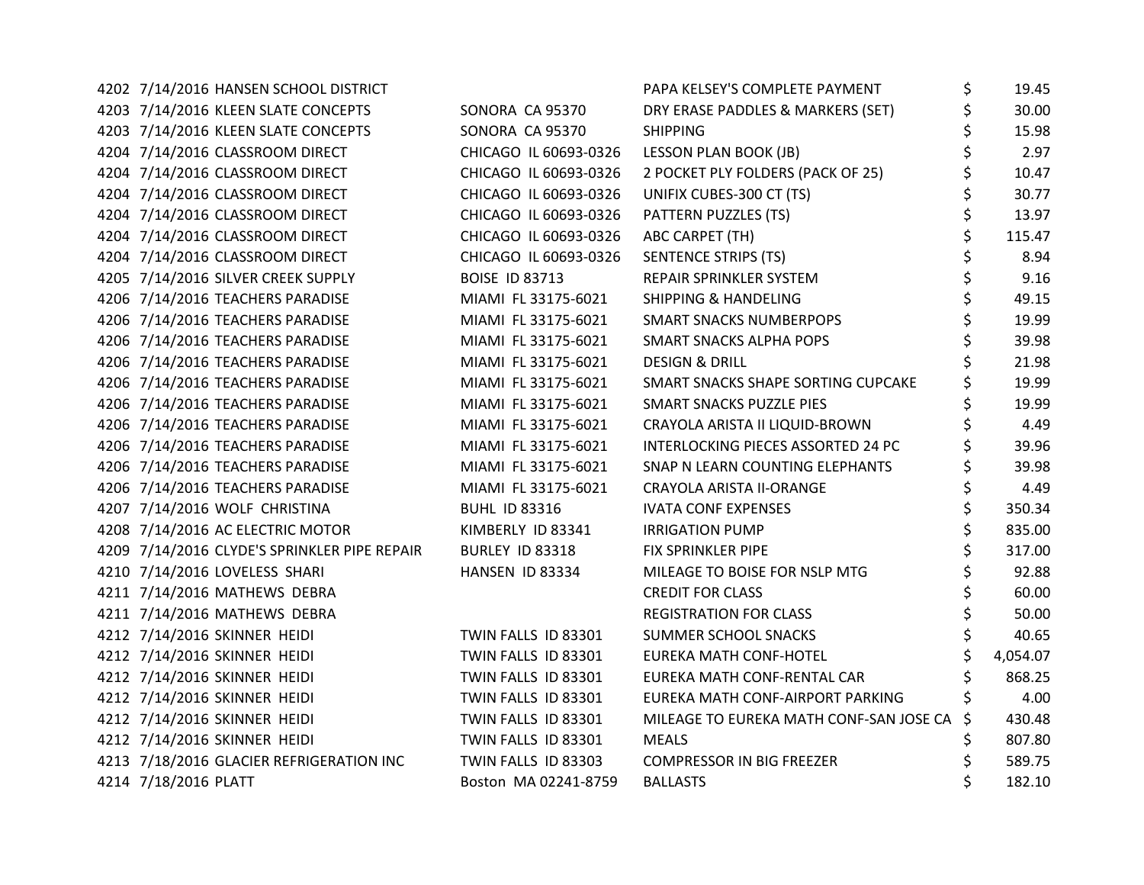| 4202 7/14/2016 HANSEN SCHOOL DISTRICT        |                       | PAPA KELSEY'S COMPLETE PAYMENT          | \$ | 19.45    |
|----------------------------------------------|-----------------------|-----------------------------------------|----|----------|
| 4203 7/14/2016 KLEEN SLATE CONCEPTS          | SONORA CA 95370       | DRY ERASE PADDLES & MARKERS (SET)       | \$ | 30.00    |
| 4203 7/14/2016 KLEEN SLATE CONCEPTS          | SONORA CA 95370       | <b>SHIPPING</b>                         |    | 15.98    |
| 4204 7/14/2016 CLASSROOM DIRECT              | CHICAGO IL 60693-0326 | LESSON PLAN BOOK (JB)                   |    | 2.97     |
| 4204 7/14/2016 CLASSROOM DIRECT              | CHICAGO IL 60693-0326 | 2 POCKET PLY FOLDERS (PACK OF 25)       |    | 10.47    |
| 4204 7/14/2016 CLASSROOM DIRECT              | CHICAGO IL 60693-0326 | UNIFIX CUBES-300 CT (TS)                | \$ | 30.77    |
| 4204 7/14/2016 CLASSROOM DIRECT              | CHICAGO IL 60693-0326 | PATTERN PUZZLES (TS)                    | \$ | 13.97    |
| 4204 7/14/2016 CLASSROOM DIRECT              | CHICAGO IL 60693-0326 | ABC CARPET (TH)                         |    | 115.47   |
| 4204 7/14/2016 CLASSROOM DIRECT              | CHICAGO IL 60693-0326 | <b>SENTENCE STRIPS (TS)</b>             |    | 8.94     |
| 4205 7/14/2016 SILVER CREEK SUPPLY           | <b>BOISE ID 83713</b> | REPAIR SPRINKLER SYSTEM                 | \$ | 9.16     |
| 4206 7/14/2016 TEACHERS PARADISE             | MIAMI FL 33175-6021   | <b>SHIPPING &amp; HANDELING</b>         | \$ | 49.15    |
| 4206 7/14/2016 TEACHERS PARADISE             | MIAMI FL 33175-6021   | <b>SMART SNACKS NUMBERPOPS</b>          | \$ | 19.99    |
| 4206 7/14/2016 TEACHERS PARADISE             | MIAMI FL 33175-6021   | <b>SMART SNACKS ALPHA POPS</b>          | \$ | 39.98    |
| 4206 7/14/2016 TEACHERS PARADISE             | MIAMI FL 33175-6021   | <b>DESIGN &amp; DRILL</b>               |    | 21.98    |
| 4206 7/14/2016 TEACHERS PARADISE             | MIAMI FL 33175-6021   | SMART SNACKS SHAPE SORTING CUPCAKE      |    | 19.99    |
| 4206 7/14/2016 TEACHERS PARADISE             | MIAMI FL 33175-6021   | <b>SMART SNACKS PUZZLE PIES</b>         | \$ | 19.99    |
| 4206 7/14/2016 TEACHERS PARADISE             | MIAMI FL 33175-6021   | CRAYOLA ARISTA II LIQUID-BROWN          |    | 4.49     |
| 4206 7/14/2016 TEACHERS PARADISE             | MIAMI FL 33175-6021   | INTERLOCKING PIECES ASSORTED 24 PC      | \$ | 39.96    |
| 4206 7/14/2016 TEACHERS PARADISE             | MIAMI FL 33175-6021   | SNAP N LEARN COUNTING ELEPHANTS         | \$ | 39.98    |
| 4206 7/14/2016 TEACHERS PARADISE             | MIAMI FL 33175-6021   | <b>CRAYOLA ARISTA II-ORANGE</b>         | \$ | 4.49     |
| 4207 7/14/2016 WOLF CHRISTINA                | <b>BUHL ID 83316</b>  | <b>IVATA CONF EXPENSES</b>              | \$ | 350.34   |
| 4208 7/14/2016 AC ELECTRIC MOTOR             | KIMBERLY ID 83341     | <b>IRRIGATION PUMP</b>                  |    | 835.00   |
| 4209 7/14/2016 CLYDE'S SPRINKLER PIPE REPAIR | BURLEY ID 83318       | FIX SPRINKLER PIPE                      |    | 317.00   |
| 4210 7/14/2016 LOVELESS SHARI                | HANSEN ID 83334       | MILEAGE TO BOISE FOR NSLP MTG           |    | 92.88    |
| 4211 7/14/2016 MATHEWS DEBRA                 |                       | <b>CREDIT FOR CLASS</b>                 | \$ | 60.00    |
| 4211 7/14/2016 MATHEWS DEBRA                 |                       | <b>REGISTRATION FOR CLASS</b>           | \$ | 50.00    |
| 4212 7/14/2016 SKINNER HEIDI                 | TWIN FALLS ID 83301   | SUMMER SCHOOL SNACKS                    |    | 40.65    |
| 4212 7/14/2016 SKINNER HEIDI                 | TWIN FALLS ID 83301   | <b>EUREKA MATH CONF-HOTEL</b>           |    | 4,054.07 |
| 4212 7/14/2016 SKINNER HEIDI                 | TWIN FALLS ID 83301   | EUREKA MATH CONF-RENTAL CAR             |    | 868.25   |
| 4212 7/14/2016 SKINNER HEIDI                 | TWIN FALLS ID 83301   | EUREKA MATH CONF-AIRPORT PARKING        |    | 4.00     |
| 4212 7/14/2016 SKINNER HEIDI                 | TWIN FALLS ID 83301   | MILEAGE TO EUREKA MATH CONF-SAN JOSE CA | \$ | 430.48   |
| 4212 7/14/2016 SKINNER HEIDI                 | TWIN FALLS ID 83301   | <b>MEALS</b>                            | Ş  | 807.80   |
| 4213 7/18/2016 GLACIER REFRIGERATION INC     | TWIN FALLS ID 83303   | COMPRESSOR IN BIG FREEZER               |    | 589.75   |
| 4214 7/18/2016 PLATT                         | Boston MA 02241-8759  | <b>BALLASTS</b>                         |    | 182.10   |